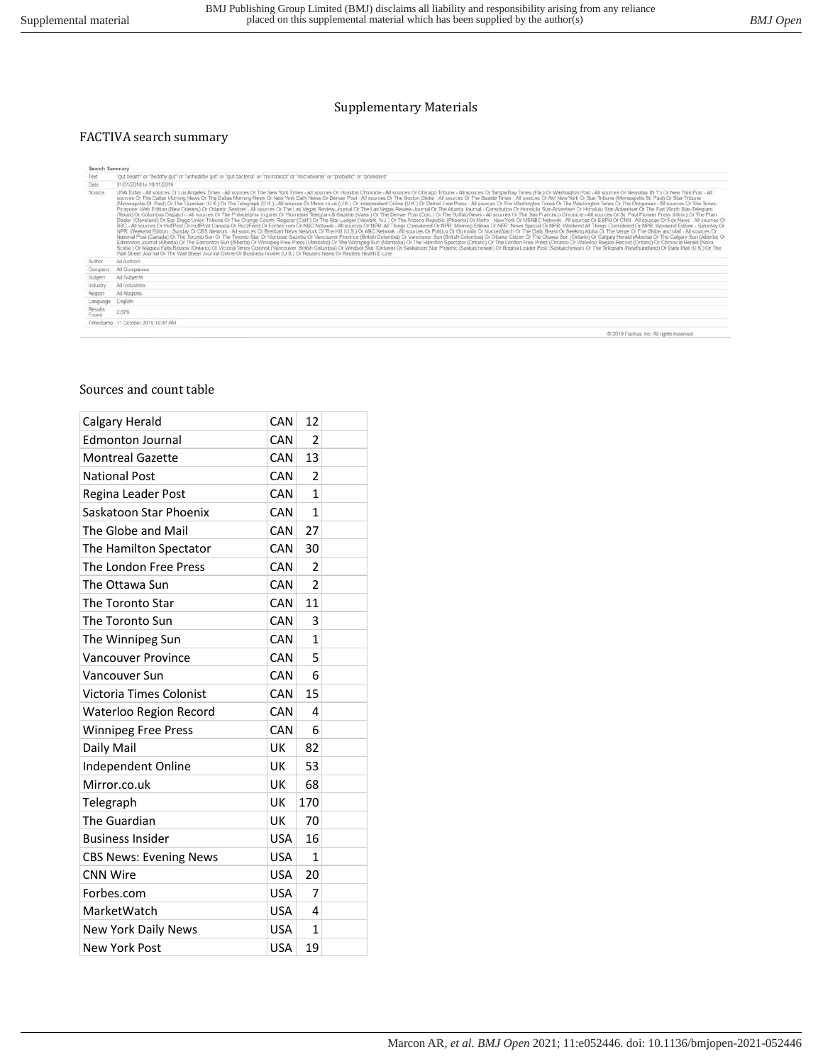### Supplementary Materials

### FACTIVA search summary

| Search Summary          |                                                                                                                                                                                                                                                                                                                                                                                                                                                                                                                                                                                                                                                                                                                                                                                                                                                                                                                                                                                                                                                                                                                                                                                                                                                                                                                                                                                                                                                                                                                                                                                                                                                                                                                                                                                                                                                                                                                                                                                                                                                                                                                                                                                                                                                                                                                                                                                                                                                                                                                                                                                                                                                                                                               |
|-------------------------|---------------------------------------------------------------------------------------------------------------------------------------------------------------------------------------------------------------------------------------------------------------------------------------------------------------------------------------------------------------------------------------------------------------------------------------------------------------------------------------------------------------------------------------------------------------------------------------------------------------------------------------------------------------------------------------------------------------------------------------------------------------------------------------------------------------------------------------------------------------------------------------------------------------------------------------------------------------------------------------------------------------------------------------------------------------------------------------------------------------------------------------------------------------------------------------------------------------------------------------------------------------------------------------------------------------------------------------------------------------------------------------------------------------------------------------------------------------------------------------------------------------------------------------------------------------------------------------------------------------------------------------------------------------------------------------------------------------------------------------------------------------------------------------------------------------------------------------------------------------------------------------------------------------------------------------------------------------------------------------------------------------------------------------------------------------------------------------------------------------------------------------------------------------------------------------------------------------------------------------------------------------------------------------------------------------------------------------------------------------------------------------------------------------------------------------------------------------------------------------------------------------------------------------------------------------------------------------------------------------------------------------------------------------------------------------------------------------|
| Text                    | "gut health" or "healthy gut" or "unhealthy gut" or "gut bacteria" or "microbiota" or "microbiome" or "probiotic" or "probiotics"                                                                                                                                                                                                                                                                                                                                                                                                                                                                                                                                                                                                                                                                                                                                                                                                                                                                                                                                                                                                                                                                                                                                                                                                                                                                                                                                                                                                                                                                                                                                                                                                                                                                                                                                                                                                                                                                                                                                                                                                                                                                                                                                                                                                                                                                                                                                                                                                                                                                                                                                                                             |
| Date                    | 01/01/2018 to 10/11/2019                                                                                                                                                                                                                                                                                                                                                                                                                                                                                                                                                                                                                                                                                                                                                                                                                                                                                                                                                                                                                                                                                                                                                                                                                                                                                                                                                                                                                                                                                                                                                                                                                                                                                                                                                                                                                                                                                                                                                                                                                                                                                                                                                                                                                                                                                                                                                                                                                                                                                                                                                                                                                                                                                      |
| Source                  | USA Today - All sources Or Los Angeles Times - All sources Or The New York Times - All sources Or Houston Chronicle - All sources Or Chicago Tribune - All sources Or Tampa Bay Times (Fla.) Or Washington Post - All sources<br>sources Or The Dallas Morning News Or The Dallas Morning News Or New York Daily News Or Deriver Post - All sources Or The Boston Globe - All sources Or The Seattle Times - All sources Or AM New York Or Star-Tribune (Minnea<br>(Minneapolis-St. Paul) Or The Guardian (U.K.) Or The Telegraph (U.K.) - All sources Or Minor.co.uk (U.K.) Or Independent Online (U.K.) Or Detroit Free Press - All sources Or The Washington Times Or The Weshington Times Or<br>Picayune: Web Edition (New Orleans) Or Orlando Sentinel - All sources Or The Las Vegas Review-Journal Or The Las Vegas Review-Journal Or The Atlanta Journal - Constitution Or Honolulu Star-Advertiser Or Honolulu Star-Adver<br>(Texas) Or Columbus Dispatch - All sources Or The Philadelphia Inquirer Or Worcester Telegram & Gazette (Mass.) Or The Denver Post (Colo.) Or The Buffalo News - All sources Or The San Francisco Chronicle - All sources Or S<br>Dealer (Cleveland) Or San Diego Union-Tribune Or The Orange County Register (Calif.) Or The Star Ledger (Newark, N.J.) Or The Arizona Republic (Phoenix) Or Metro - New York Or MSNBC Network - All sources Or ESPN Or CNN - A<br>BBC - All sources Or HuffPost Or HuffPost Canada Or BuzzFeed Or Forbes com Or NBC Network - All sources Or NPR: All Things Considered Or NPR: Moming Edition Or NPR: News Special Or NPR: Weekend All Things Considered Or NPR<br>NPR. Weekend Edition - Sunday Or CBS Network - All sources Or Breitbart News Network Or The Hill (U.S.) Or ABC Network - All sources Or Gizmodo Or NarketWatch Or The Daily Beast Or Seeking Alpha Or The Globe and Mail - All<br>National Post (Canada) Or The Toronto Sun Or The Toronto Star Or Montreal Gazette Or Vancouver Province (British Columbia) Or Vancouver Sun (British Columbia) Or Ottawa Citizen Or The Ottawa Sun (Ontario) Or Calgary Herald<br>Edmonton Journal (Alberta) Or The Edmonton Sun (Alberta) Or Winnipeg Free Press (Manitoba) Or The Winnipeg Sun (Manitoba) Or The Hamilton Spectator (Ontario) Or The London Free Press (Ontario) Or Waterloo Region Record (On<br>Scotia ) Or Niagara Falls Review (Ontario) Or Victoria Times Colonist (Vancouver, British Columbia) Or Windsor Star (Ontario) Or Saskatoon Star Phoenix (Saskatchewan) Or Regina Leader Post (Saskatchewan) Or The Telegram (N<br>Wall Street Journal Or The Wall Street Journal Online Or Business Insider (U.S.) Or Reuters News Or Reuters Health E-Line |
| Author                  | All Authors                                                                                                                                                                                                                                                                                                                                                                                                                                                                                                                                                                                                                                                                                                                                                                                                                                                                                                                                                                                                                                                                                                                                                                                                                                                                                                                                                                                                                                                                                                                                                                                                                                                                                                                                                                                                                                                                                                                                                                                                                                                                                                                                                                                                                                                                                                                                                                                                                                                                                                                                                                                                                                                                                                   |
| Company                 | All Companies                                                                                                                                                                                                                                                                                                                                                                                                                                                                                                                                                                                                                                                                                                                                                                                                                                                                                                                                                                                                                                                                                                                                                                                                                                                                                                                                                                                                                                                                                                                                                                                                                                                                                                                                                                                                                                                                                                                                                                                                                                                                                                                                                                                                                                                                                                                                                                                                                                                                                                                                                                                                                                                                                                 |
| Subject                 | All Subjects                                                                                                                                                                                                                                                                                                                                                                                                                                                                                                                                                                                                                                                                                                                                                                                                                                                                                                                                                                                                                                                                                                                                                                                                                                                                                                                                                                                                                                                                                                                                                                                                                                                                                                                                                                                                                                                                                                                                                                                                                                                                                                                                                                                                                                                                                                                                                                                                                                                                                                                                                                                                                                                                                                  |
| Industry                | All Industries                                                                                                                                                                                                                                                                                                                                                                                                                                                                                                                                                                                                                                                                                                                                                                                                                                                                                                                                                                                                                                                                                                                                                                                                                                                                                                                                                                                                                                                                                                                                                                                                                                                                                                                                                                                                                                                                                                                                                                                                                                                                                                                                                                                                                                                                                                                                                                                                                                                                                                                                                                                                                                                                                                |
| Region                  | All Regions                                                                                                                                                                                                                                                                                                                                                                                                                                                                                                                                                                                                                                                                                                                                                                                                                                                                                                                                                                                                                                                                                                                                                                                                                                                                                                                                                                                                                                                                                                                                                                                                                                                                                                                                                                                                                                                                                                                                                                                                                                                                                                                                                                                                                                                                                                                                                                                                                                                                                                                                                                                                                                                                                                   |
| Language                | English                                                                                                                                                                                                                                                                                                                                                                                                                                                                                                                                                                                                                                                                                                                                                                                                                                                                                                                                                                                                                                                                                                                                                                                                                                                                                                                                                                                                                                                                                                                                                                                                                                                                                                                                                                                                                                                                                                                                                                                                                                                                                                                                                                                                                                                                                                                                                                                                                                                                                                                                                                                                                                                                                                       |
| <b>Results</b><br>Found | 2,676                                                                                                                                                                                                                                                                                                                                                                                                                                                                                                                                                                                                                                                                                                                                                                                                                                                                                                                                                                                                                                                                                                                                                                                                                                                                                                                                                                                                                                                                                                                                                                                                                                                                                                                                                                                                                                                                                                                                                                                                                                                                                                                                                                                                                                                                                                                                                                                                                                                                                                                                                                                                                                                                                                         |
|                         | Timestamp 11 October 2019 10:47 AM                                                                                                                                                                                                                                                                                                                                                                                                                                                                                                                                                                                                                                                                                                                                                                                                                                                                                                                                                                                                                                                                                                                                                                                                                                                                                                                                                                                                                                                                                                                                                                                                                                                                                                                                                                                                                                                                                                                                                                                                                                                                                                                                                                                                                                                                                                                                                                                                                                                                                                                                                                                                                                                                            |
|                         | 45. 3040 Englass, Jan. All rights engineerd                                                                                                                                                                                                                                                                                                                                                                                                                                                                                                                                                                                                                                                                                                                                                                                                                                                                                                                                                                                                                                                                                                                                                                                                                                                                                                                                                                                                                                                                                                                                                                                                                                                                                                                                                                                                                                                                                                                                                                                                                                                                                                                                                                                                                                                                                                                                                                                                                                                                                                                                                                                                                                                                   |

#### Sources and count table

| Calgary Herald                | CAN        | 12             |  |
|-------------------------------|------------|----------------|--|
| <b>Edmonton Journal</b>       | CAN        | $\overline{2}$ |  |
| <b>Montreal Gazette</b>       | <b>CAN</b> | 13             |  |
| <b>National Post</b>          | CAN        | $\overline{2}$ |  |
| Regina Leader Post            | CAN        | 1              |  |
| Saskatoon Star Phoenix        | CAN        | $\mathbf{1}$   |  |
| The Globe and Mail            | <b>CAN</b> | 27             |  |
| The Hamilton Spectator        | <b>CAN</b> | 30             |  |
| The London Free Press         | CAN        | 2              |  |
| The Ottawa Sun                | <b>CAN</b> | $\overline{2}$ |  |
| The Toronto Star              | CAN        | 11             |  |
| The Toronto Sun               | CAN        | 3              |  |
| The Winnipeg Sun              | CAN        | 1              |  |
| <b>Vancouver Province</b>     | CAN        | 5              |  |
| Vancouver Sun                 | <b>CAN</b> | 6              |  |
| Victoria Times Colonist       | <b>CAN</b> | 15             |  |
| <b>Waterloo Region Record</b> | CAN        | 4              |  |
| <b>Winnipeg Free Press</b>    | <b>CAN</b> | 6              |  |
| Daily Mail                    | UK         | 82             |  |
| Independent Online            | UK         | 53             |  |
| Mirror.co.uk                  | UK         | 68             |  |
| Telegraph                     | UK         | 170            |  |
| The Guardian                  | UK         | 70             |  |
| <b>Business Insider</b>       | USA        | 16             |  |
| <b>CBS News: Evening News</b> | <b>USA</b> | 1              |  |
| <b>CNN Wire</b>               | USA        | 20             |  |
| Forbes.com                    | <b>USA</b> | 7              |  |
| MarketWatch                   | <b>USA</b> | 4              |  |
| New York Daily News           | <b>USA</b> | 1              |  |
| <b>New York Post</b>          | <b>USA</b> | 19             |  |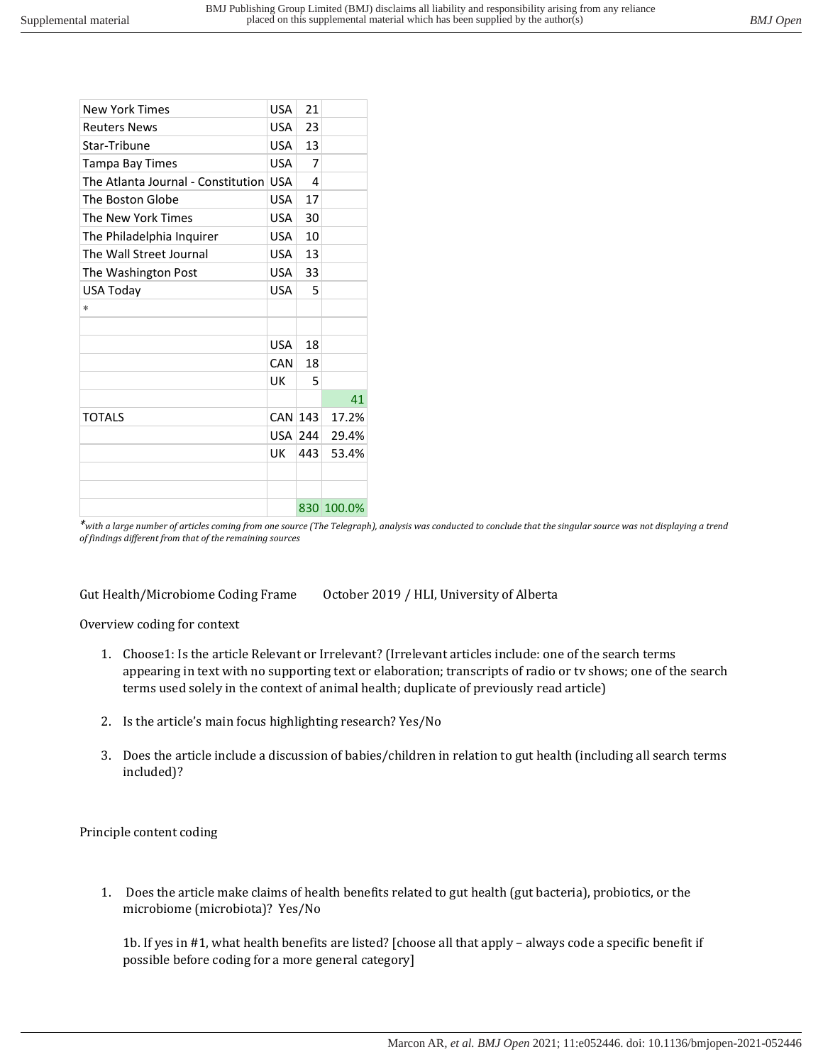| <b>New York Times</b>                  | <b>USA</b>       | 21  |            |
|----------------------------------------|------------------|-----|------------|
| <b>Reuters News</b>                    | USA <sup>1</sup> | 23  |            |
| Star-Tribune                           | USA <sup>1</sup> | 13  |            |
| Tampa Bay Times                        | <b>USA</b>       | 7   |            |
| The Atlanta Journal - Constitution USA |                  | 4   |            |
| The Boston Globe                       | <b>USA</b>       | 17  |            |
| The New York Times                     | <b>USA</b>       | 30  |            |
| The Philadelphia Inquirer              | <b>USA</b>       | 10  |            |
| The Wall Street Journal                | USA <sup>I</sup> | 13  |            |
| The Washington Post                    | <b>USA</b>       | 33  |            |
| <b>USA Today</b>                       | <b>USA</b>       | 5   |            |
| $\ast$                                 |                  |     |            |
|                                        |                  |     |            |
|                                        | <b>USA</b>       | 18  |            |
|                                        | CAN              | 18  |            |
|                                        | UK               | 5   |            |
|                                        |                  |     | 41         |
| <b>TOTALS</b>                          | CAN 143          |     | 17.2%      |
|                                        | USA 244          |     | 29.4%      |
|                                        | UK               | 443 | 53.4%      |
|                                        |                  |     |            |
|                                        |                  |     |            |
|                                        |                  |     | 830 100.0% |

*\*with a large number of articles coming from one source (The Telegraph), analysis was conducted to conclude that the singular source was not displaying a trend of findings different from that of the remaining sources* 

# Gut Health/Microbiome Coding Frame October 2019 / HLI, University of Alberta

Overview coding for context

- 1. Choose1: Is the article Relevant or Irrelevant? (Irrelevant articles include: one of the search terms appearing in text with no supporting text or elaboration; transcripts of radio or tv shows; one of the search terms used solely in the context of animal health; duplicate of previously read article)
- 2. Is the article's main focus highlighting research? Yes/No
- 3. Does the article include a discussion of babies/children in relation to gut health (including all search terms included)?

Principle content coding

1. Does the article make claims of health benefits related to gut health (gut bacteria), probiotics, or the microbiome (microbiota)? Yes/No

1b. If yes in #1, what health benefits are listed? [choose all that apply – always code a specific benefit if possible before coding for a more general category]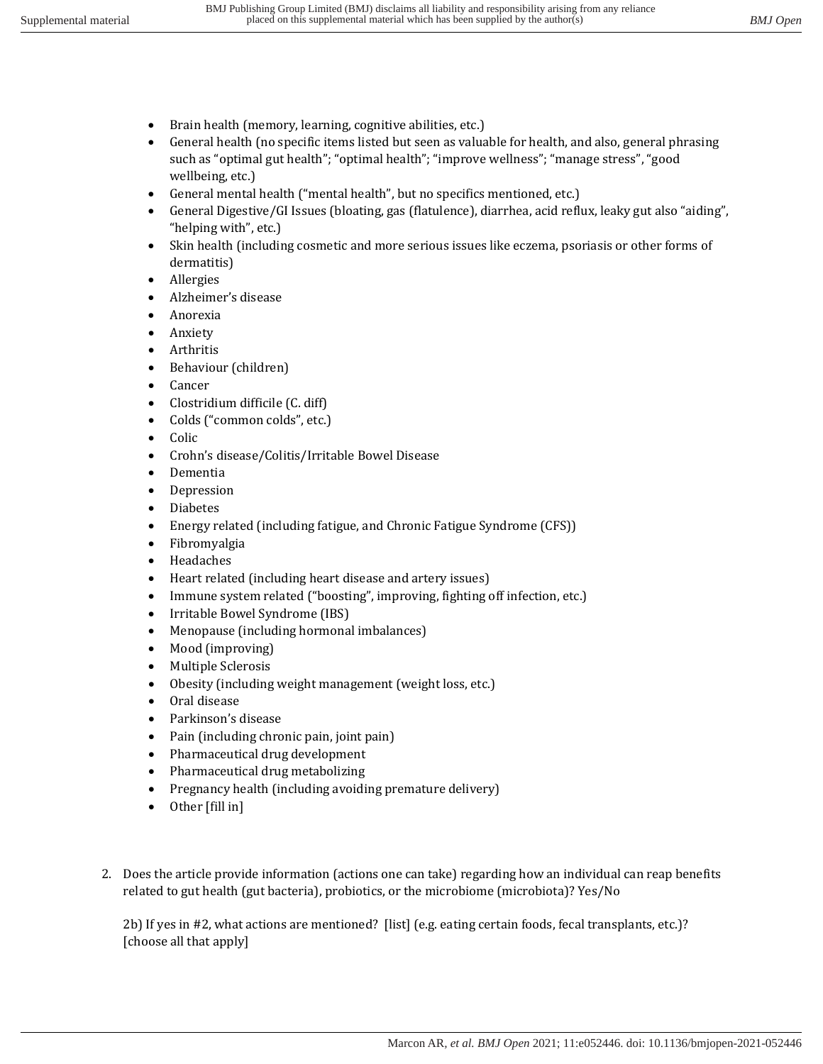- Brain health (memory, learning, cognitive abilities, etc.)
- General health (no specific items listed but seen as valuable for health, and also, general phrasing such as "optimal gut health"; "optimal health"; "improve wellness"; "manage stress", "good wellbeing, etc.)
- General mental health ("mental health", but no specifics mentioned, etc.)
- General Digestive/GI Issues (bloating, gas (flatulence), diarrhea, acid reflux, leaky gut also "aiding", "helping with", etc.)
- Skin health (including cosmetic and more serious issues like eczema, psoriasis or other forms of dermatitis)
- Allergies
- Alzheimer's disease
- Anorexia
- Anxiety
- Arthritis
- Behaviour (children)
- Cancer
- Clostridium difficile (C. diff)
- Colds ("common colds", etc.)
- Colic
- Crohn's disease/Colitis/Irritable Bowel Disease
- Dementia
- Depression
- Diabetes
- Energy related (including fatigue, and Chronic Fatigue Syndrome (CFS))
- Fibromyalgia
- Headaches
- Heart related (including heart disease and artery issues)
- Immune system related ("boosting", improving, fighting off infection, etc.)
- Irritable Bowel Syndrome (IBS)
- Menopause (including hormonal imbalances)
- Mood (improving)
- Multiple Sclerosis
- Obesity (including weight management (weight loss, etc.)
- Oral disease
- Parkinson's disease
- Pain (including chronic pain, joint pain)
- Pharmaceutical drug development
- Pharmaceutical drug metabolizing
- Pregnancy health (including avoiding premature delivery)
- Other [fill in]
- 2. Does the article provide information (actions one can take) regarding how an individual can reap benefits related to gut health (gut bacteria), probiotics, or the microbiome (microbiota)? Yes/No

2b) If yes in #2, what actions are mentioned? [list] (e.g. eating certain foods, fecal transplants, etc.)? [choose all that apply]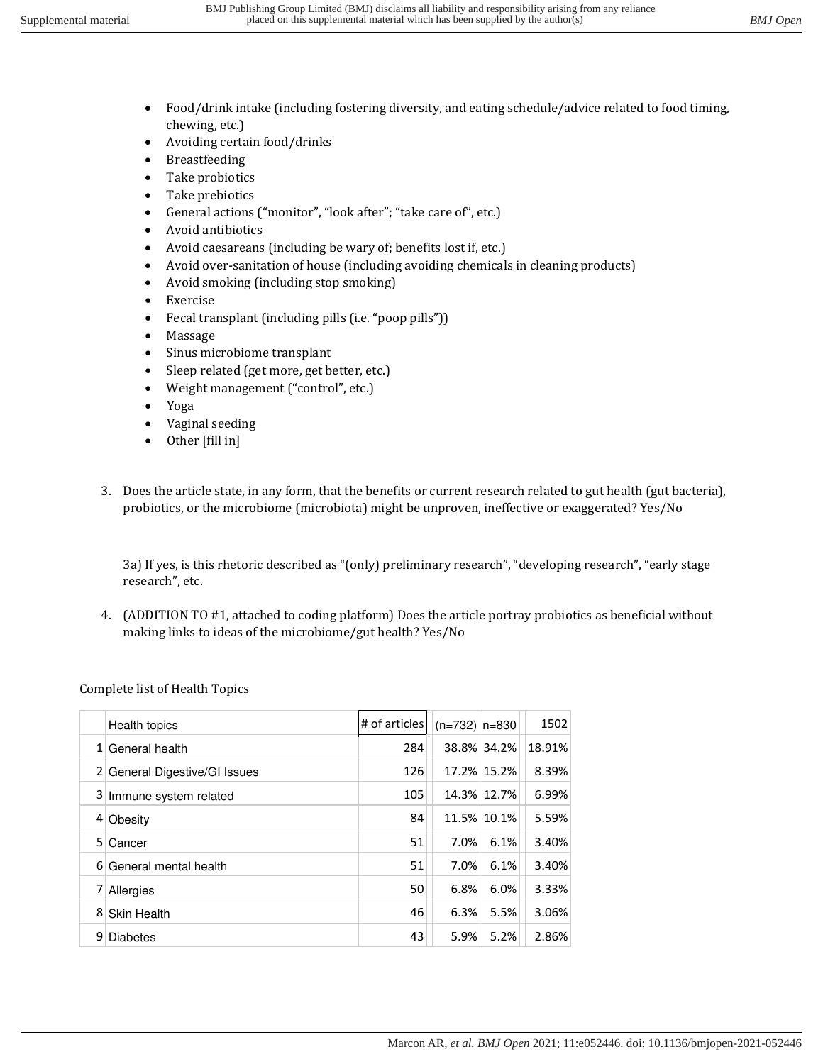- Food/drink intake (including fostering diversity, and eating schedule/advice related to food timing, chewing, etc.)
- Avoiding certain food/drinks
- Breastfeeding
- Take probiotics
- Take prebiotics
- General actions ("monitor", "look after"; "take care of", etc.)
- Avoid antibiotics
- Avoid caesareans (including be wary of; benefits lost if, etc.)
- Avoid over-sanitation of house (including avoiding chemicals in cleaning products)
- Avoid smoking (including stop smoking)
- Exercise
- Fecal transplant (including pills (i.e. "poop pills"))
- Massage
- Sinus microbiome transplant
- Sleep related (get more, get better, etc.)
- Weight management ("control", etc.)
- Yoga
- Vaginal seeding
- Other [fill in]
- 3. Does the article state, in any form, that the benefits or current research related to gut health (gut bacteria), probiotics, or the microbiome (microbiota) might be unproven, ineffective or exaggerated? Yes/No

3a) If yes, is this rhetoric described as "(only) preliminary research", "developing research", "early stage research", etc.

4. (ADDITION TO #1, attached to coding platform) Does the article portray probiotics as beneficial without making links to ideas of the microbiome/gut health? Yes/No

Complete list of Health Topics

|   | Health topics                 | # of articles | $(n=732)$ n=830 |             | 1502   |
|---|-------------------------------|---------------|-----------------|-------------|--------|
|   | $1$ General health            | 284           |                 | 38.8% 34.2% | 18.91% |
|   | 2 General Digestive/GI Issues | 126           |                 | 17.2% 15.2% | 8.39%  |
|   | 3 Immune system related       | 105           |                 | 14.3% 12.7% | 6.99%  |
|   | 4 Obesity                     | 84            | 11.5%           | 10.1%       | 5.59%  |
| 5 | <b>Cancer</b>                 | 51            | 7.0%            | 6.1%        | 3.40%  |
|   | 6 General mental health       | 51            | 7.0%            | 6.1%        | 3.40%  |
| 7 | Allergies                     | 50            | 6.8%            | 6.0%        | 3.33%  |
| 8 | Skin Health                   | 46            | 6.3%            | 5.5%        | 3.06%  |
| 9 | <b>Diabetes</b>               | 43            | 5.9%            | 5.2%        | 2.86%  |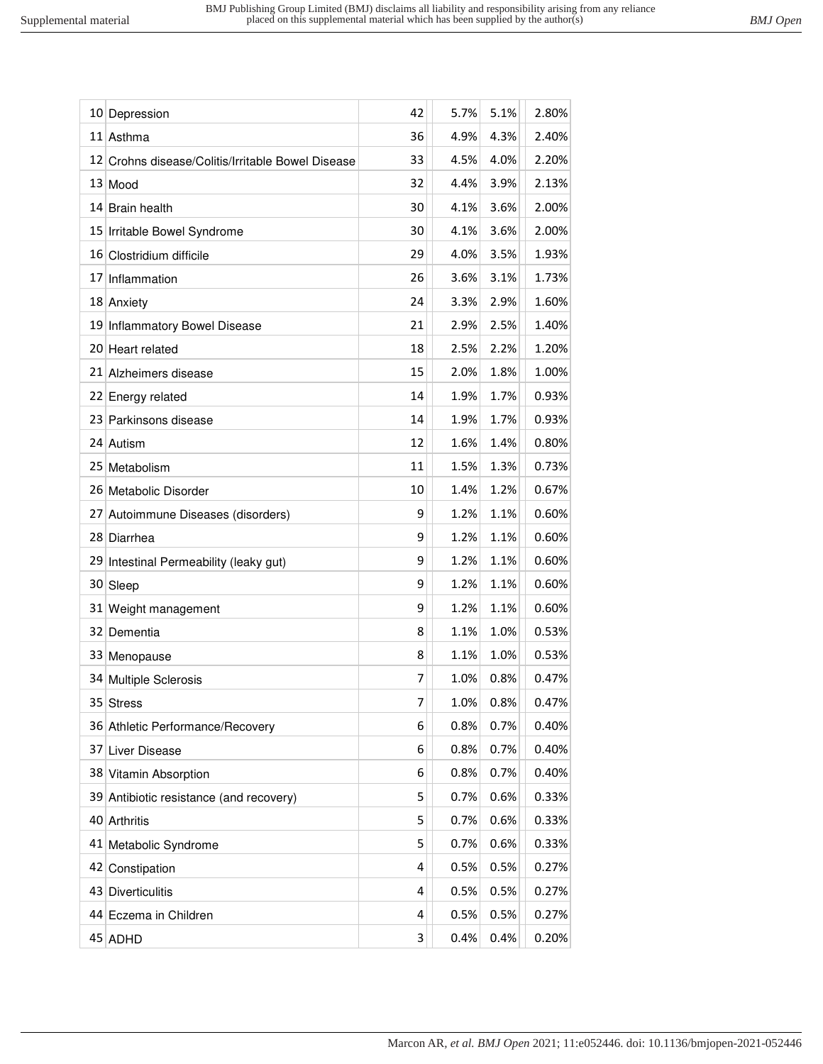|                 | 10 Depression                                     | 42 | 5.7% | 5.1% | 2.80% |
|-----------------|---------------------------------------------------|----|------|------|-------|
|                 | 11 Asthma                                         | 36 | 4.9% | 4.3% | 2.40% |
|                 | 12 Crohns disease/Colitis/Irritable Bowel Disease | 33 | 4.5% | 4.0% | 2.20% |
|                 | 13 Mood                                           | 32 | 4.4% | 3.9% | 2.13% |
| 14              | <b>Brain health</b>                               | 30 | 4.1% | 3.6% | 2.00% |
|                 | 15 Irritable Bowel Syndrome                       | 30 | 4.1% | 3.6% | 2.00% |
| 16              | Clostridium difficile                             | 29 | 4.0% | 3.5% | 1.93% |
| 17              | Inflammation                                      | 26 | 3.6% | 3.1% | 1.73% |
|                 | 18 Anxiety                                        | 24 | 3.3% | 2.9% | 1.60% |
| 19              | Inflammatory Bowel Disease                        | 21 | 2.9% | 2.5% | 1.40% |
| 201             | Heart related                                     | 18 | 2.5% | 2.2% | 1.20% |
|                 | 21 Alzheimers disease                             | 15 | 2.0% | 1.8% | 1.00% |
|                 | 22 Energy related                                 | 14 | 1.9% | 1.7% | 0.93% |
|                 | 23 Parkinsons disease                             | 14 | 1.9% | 1.7% | 0.93% |
|                 | 24 Autism                                         | 12 | 1.6% | 1.4% | 0.80% |
| 25 <sub>1</sub> | Metabolism                                        | 11 | 1.5% | 1.3% | 0.73% |
|                 | 26 Metabolic Disorder                             | 10 | 1.4% | 1.2% | 0.67% |
| 27              | Autoimmune Diseases (disorders)                   | 9  | 1.2% | 1.1% | 0.60% |
|                 | 28 Diarrhea                                       | 9  | 1.2% | 1.1% | 0.60% |
| 291             | Intestinal Permeability (leaky gut)               | 9  | 1.2% | 1.1% | 0.60% |
| 30 <sup>2</sup> | Sleep                                             | 9  | 1.2% | 1.1% | 0.60% |
|                 | 31 Weight management                              | 9  | 1.2% | 1.1% | 0.60% |
| 32              | Dementia                                          | 8  | 1.1% | 1.0% | 0.53% |
| 331             | Menopause                                         | 8  | 1.1% | 1.0% | 0.53% |
|                 | 34 Multiple Sclerosis                             | 7  | 1.0% | 0.8% | 0.47% |
| 35              | <b>Stress</b>                                     | 7  | 1.0% | 0.8% | 0.47% |
|                 | 36 Athletic Performance/Recovery                  | 6  | 0.8% | 0.7% | 0.40% |
| 37 <sup>2</sup> | Liver Disease                                     | 6  | 0.8% | 0.7% | 0.40% |
|                 | 38 Vitamin Absorption                             | 6  | 0.8% | 0.7% | 0.40% |
| 39              | Antibiotic resistance (and recovery)              | 5  | 0.7% | 0.6% | 0.33% |
|                 | 40 Arthritis                                      | 5  | 0.7% | 0.6% | 0.33% |
| 41              | Metabolic Syndrome                                | 5  | 0.7% | 0.6% | 0.33% |
| 42              | Constipation                                      | 4  | 0.5% | 0.5% | 0.27% |
| 43              | <b>Diverticulitis</b>                             | 4  | 0.5% | 0.5% | 0.27% |
| 44              | Eczema in Children                                | 4  | 0.5% | 0.5% | 0.27% |
|                 | 45 ADHD                                           | 3  | 0.4% | 0.4% | 0.20% |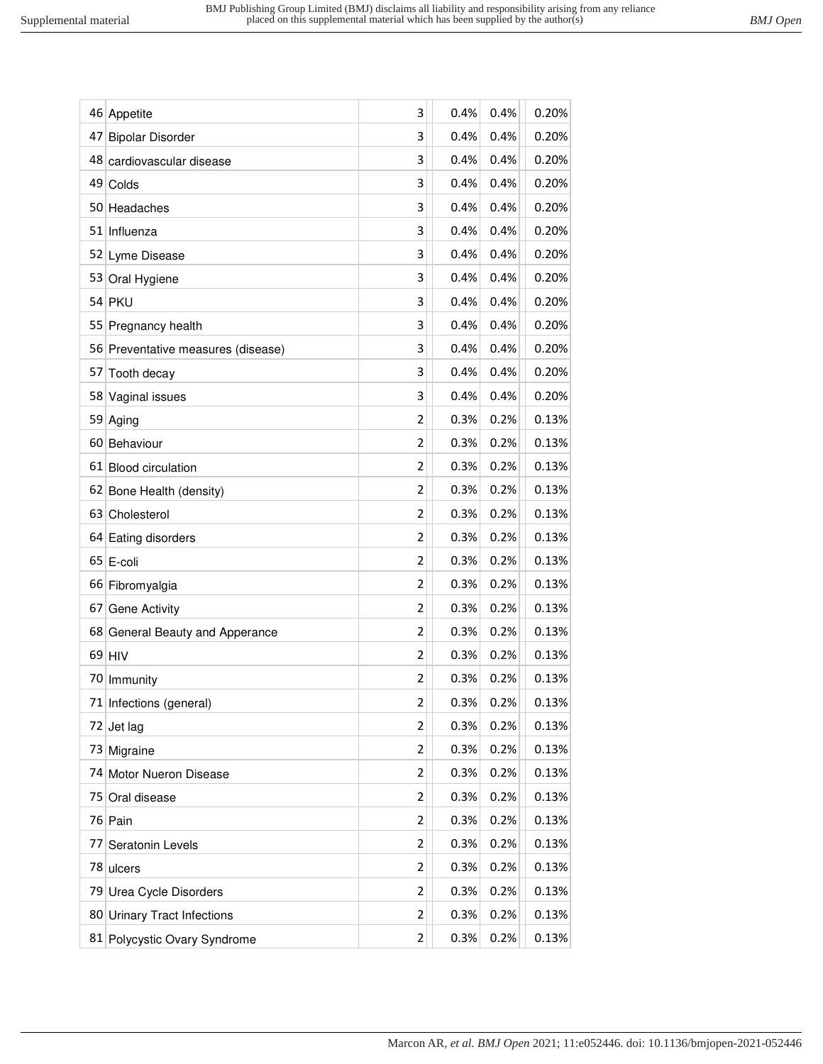|    | 46 Appetite                        | 3              | 0.4% | 0.4% | 0.20% |
|----|------------------------------------|----------------|------|------|-------|
| 47 | <b>Bipolar Disorder</b>            | 3              | 0.4% | 0.4% | 0.20% |
|    | 48 cardiovascular disease          | 3              | 0.4% | 0.4% | 0.20% |
|    | 49 Colds                           | 3              | 0.4% | 0.4% | 0.20% |
|    | 50 Headaches                       | 3              | 0.4% | 0.4% | 0.20% |
|    | 51 Influenza                       | 3              | 0.4% | 0.4% | 0.20% |
|    | 52 Lyme Disease                    | 3              | 0.4% | 0.4% | 0.20% |
|    | 53 Oral Hygiene                    | 3              | 0.4% | 0.4% | 0.20% |
|    | 54 PKU                             | 3              | 0.4% | 0.4% | 0.20% |
|    | 55 Pregnancy health                | 3              | 0.4% | 0.4% | 0.20% |
|    | 56 Preventative measures (disease) | 3              | 0.4% | 0.4% | 0.20% |
|    | 57 Tooth decay                     | 3              | 0.4% | 0.4% | 0.20% |
|    | 58 Vaginal issues                  | 3              | 0.4% | 0.4% | 0.20% |
|    | 59 Aging                           | 2              | 0.3% | 0.2% | 0.13% |
|    | 60 Behaviour                       | 2              | 0.3% | 0.2% | 0.13% |
|    | 61 Blood circulation               | 2              | 0.3% | 0.2% | 0.13% |
|    | 62 Bone Health (density)           | 2              | 0.3% | 0.2% | 0.13% |
|    | 63 Cholesterol                     | $\overline{2}$ | 0.3% | 0.2% | 0.13% |
|    | 64 Eating disorders                | 2              | 0.3% | 0.2% | 0.13% |
|    | 65 E-coli                          | $\overline{2}$ | 0.3% | 0.2% | 0.13% |
|    | 66 Fibromyalgia                    | 2              | 0.3% | 0.2% | 0.13% |
| 67 | Gene Activity                      | $\overline{2}$ | 0.3% | 0.2% | 0.13% |
|    | 68 General Beauty and Apperance    | 2              | 0.3% | 0.2% | 0.13% |
|    | $69$ HIV                           | 2              | 0.3% | 0.2% | 0.13% |
|    | 70 Immunity                        | 2              | 0.3% | 0.2% | 0.13% |
|    | 71 Infections (general)            | 2              | 0.3% | 0.2% | 0.13% |
|    | $72$ Jet lag                       | 2              | 0.3% | 0.2% | 0.13% |
| 73 | Migraine                           | 2              | 0.3% | 0.2% | 0.13% |
|    | 74 Motor Nueron Disease            | 2              | 0.3% | 0.2% | 0.13% |
|    | 75 Oral disease                    | 2              | 0.3% | 0.2% | 0.13% |
|    | 76 Pain                            | 2              | 0.3% | 0.2% | 0.13% |
| 77 | Seratonin Levels                   | 2              | 0.3% | 0.2% | 0.13% |
|    | 78 ulcers                          | 2              | 0.3% | 0.2% | 0.13% |
|    | 79 Urea Cycle Disorders            | 2              | 0.3% | 0.2% | 0.13% |
|    | 80 Urinary Tract Infections        | 2              | 0.3% | 0.2% | 0.13% |
|    | 81 Polycystic Ovary Syndrome       | 2              | 0.3% | 0.2% | 0.13% |
|    |                                    |                |      |      |       |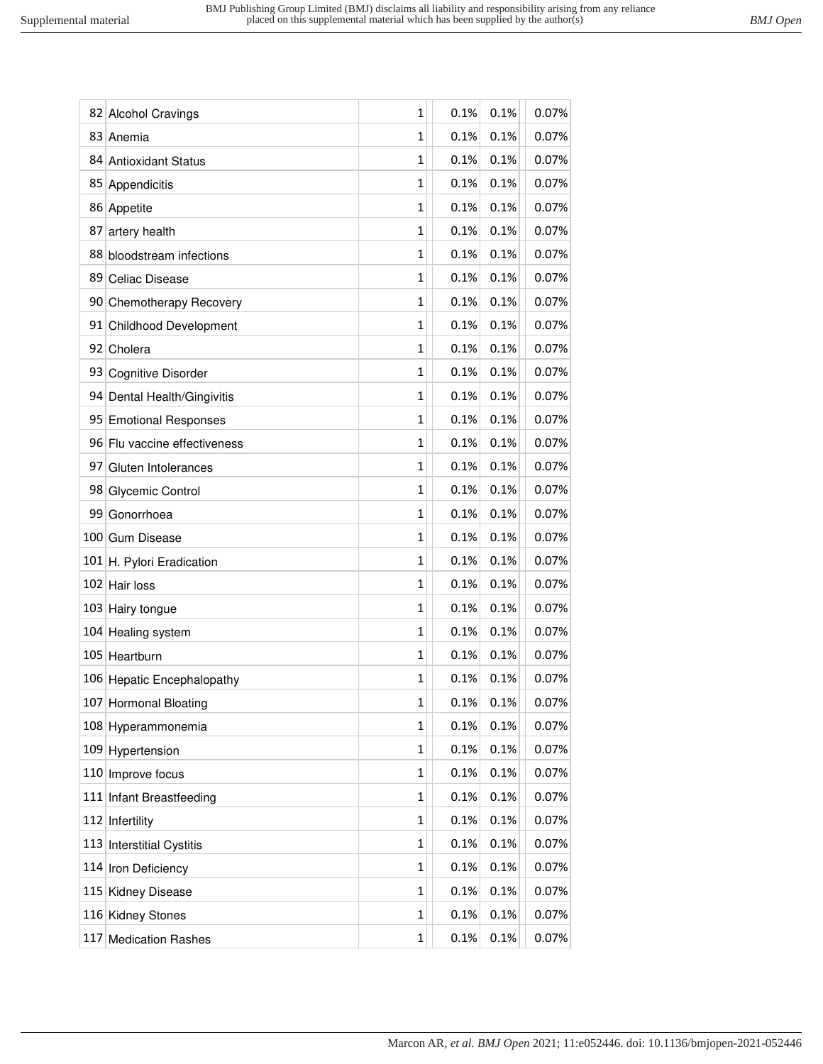|     | 82 Alcohol Cravings          | 1 | 0.1% | 0.1% | 0.07% |
|-----|------------------------------|---|------|------|-------|
|     | 83 Anemia                    | 1 | 0.1% | 0.1% | 0.07% |
| 84  | <b>Antioxidant Status</b>    | 1 | 0.1% | 0.1% | 0.07% |
|     | 85 Appendicitis              | 1 | 0.1% | 0.1% | 0.07% |
|     | 86 Appetite                  | 1 | 0.1% | 0.1% | 0.07% |
| 87  | artery health                | 1 | 0.1% | 0.1% | 0.07% |
| 88  | bloodstream infections       | 1 | 0.1% | 0.1% | 0.07% |
| 89  | Celiac Disease               | 1 | 0.1% | 0.1% | 0.07% |
|     | 90 Chemotherapy Recovery     | 1 | 0.1% | 0.1% | 0.07% |
|     | 91 Childhood Development     | 1 | 0.1% | 0.1% | 0.07% |
|     | 92 Cholera                   | 1 | 0.1% | 0.1% | 0.07% |
| 93  | <b>Cognitive Disorder</b>    | 1 | 0.1% | 0.1% | 0.07% |
|     | 94 Dental Health/Gingivitis  | 1 | 0.1% | 0.1% | 0.07% |
|     | 95 Emotional Responses       | 1 | 0.1% | 0.1% | 0.07% |
|     | 96 Flu vaccine effectiveness | 1 | 0.1% | 0.1% | 0.07% |
| 97  | Gluten Intolerances          | 1 | 0.1% | 0.1% | 0.07% |
|     | 98 Glycemic Control          | 1 | 0.1% | 0.1% | 0.07% |
| 99  | Gonorrhoea                   | 1 | 0.1% | 0.1% | 0.07% |
|     | 100 Gum Disease              | 1 | 0.1% | 0.1% | 0.07% |
|     | 101 H. Pylori Eradication    | 1 | 0.1% | 0.1% | 0.07% |
|     | 102 Hair loss                | 1 | 0.1% | 0.1% | 0.07% |
|     | 103 Hairy tongue             | 1 | 0.1% | 0.1% | 0.07% |
| 104 | Healing system               | 1 | 0.1% | 0.1% | 0.07% |
|     | 105 Heartburn                | 1 | 0.1% | 0.1% | 0.07% |
|     | 106 Hepatic Encephalopathy   | 1 | 0.1% | 0.1% | 0.07% |
| 107 | <b>Hormonal Bloating</b>     | 1 | 0.1% | 0.1% | 0.07% |
|     | 108 Hyperammonemia           | 1 | 0.1% | 0.1% | 0.07% |
|     | 109 Hypertension             | 1 | 0.1% | 0.1% | 0.07% |
|     | 110 Improve focus            | 1 | 0.1% | 0.1% | 0.07% |
|     | 111 Infant Breastfeeding     | 1 | 0.1% | 0.1% | 0.07% |
|     | 112 Infertility              | 1 | 0.1% | 0.1% | 0.07% |
|     | 113 Interstitial Cystitis    | 1 | 0.1% | 0.1% | 0.07% |
|     | 114 Iron Deficiency          | 1 | 0.1% | 0.1% | 0.07% |
|     | 115 Kidney Disease           | 1 | 0.1% | 0.1% | 0.07% |
|     | 116 Kidney Stones            | 1 | 0.1% | 0.1% | 0.07% |
| 117 | <b>Medication Rashes</b>     | 1 | 0.1% | 0.1% | 0.07% |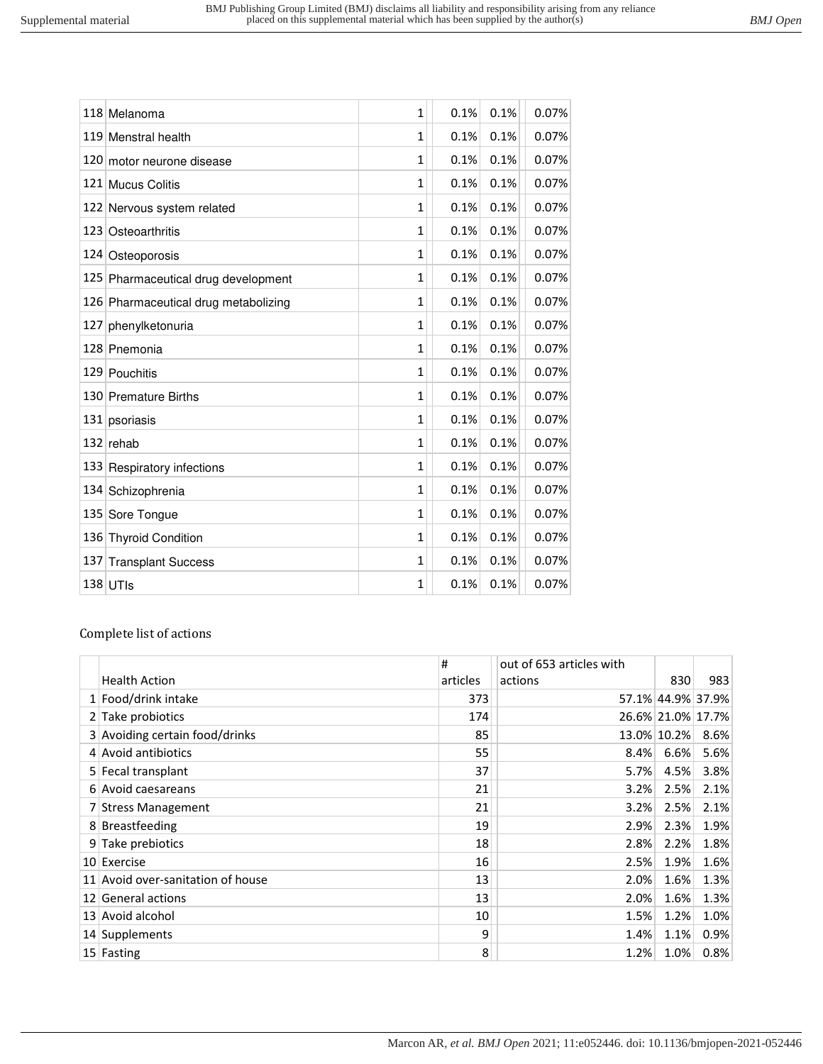|     | 118 Melanoma                         | 1              | 0.1% | 0.1% | 0.07% |
|-----|--------------------------------------|----------------|------|------|-------|
|     | 119 Menstral health                  | 1              | 0.1% | 0.1% | 0.07% |
| 120 | motor neurone disease                | 1              | 0.1% | 0.1% | 0.07% |
|     | 121 Mucus Colitis                    | 1              | 0.1% | 0.1% | 0.07% |
|     | 122 Nervous system related           | 1              | 0.1% | 0.1% | 0.07% |
|     | 123 Osteoarthritis                   | 1              | 0.1% | 0.1% | 0.07% |
|     | 124 Osteoporosis                     | 1              | 0.1% | 0.1% | 0.07% |
|     | 125 Pharmaceutical drug development  | 1              | 0.1% | 0.1% | 0.07% |
|     | 126 Pharmaceutical drug metabolizing | 1              | 0.1% | 0.1% | 0.07% |
| 127 | phenylketonuria                      | 1              | 0.1% | 0.1% | 0.07% |
|     | 128 Pnemonia                         | 1              | 0.1% | 0.1% | 0.07% |
|     | 129 Pouchitis                        | 1              | 0.1% | 0.1% | 0.07% |
|     | 130 Premature Births                 | 1              | 0.1% | 0.1% | 0.07% |
|     | 131 psoriasis                        | $\overline{1}$ | 0.1% | 0.1% | 0.07% |
|     | $132$ rehab                          | 1              | 0.1% | 0.1% | 0.07% |
|     | 133 Respiratory infections           | 1              | 0.1% | 0.1% | 0.07% |
| 134 | Schizophrenia                        | 1              | 0.1% | 0.1% | 0.07% |
|     | 135 Sore Tongue                      | 1              | 0.1% | 0.1% | 0.07% |
|     | 136 Thyroid Condition                | 1              | 0.1% | 0.1% | 0.07% |
|     | 137 Transplant Success               | 1              | 0.1% | 0.1% | 0.07% |
|     | $138$ UTIs                           | 1              | 0.1% | 0.1% | 0.07% |

## Complete list of actions

|                                   | #        | out of 653 articles with |             |                   |
|-----------------------------------|----------|--------------------------|-------------|-------------------|
| <b>Health Action</b>              | articles | actions                  | 830         | 983               |
| 1 Food/drink intake               | 373      |                          |             | 57.1% 44.9% 37.9% |
| 2 Take probiotics                 | 174      |                          |             | 26.6% 21.0% 17.7% |
| 3 Avoiding certain food/drinks    | 85       |                          | 13.0% 10.2% | 8.6%              |
| 4 Avoid antibiotics               | 55       | 8.4%                     | 6.6%        | 5.6%              |
| 5 Fecal transplant                | 37       | 5.7%                     | 4.5%        | 3.8%              |
| 6 Avoid caesareans                | 21       | 3.2%                     | 2.5%        | 2.1%              |
| 7 Stress Management               | 21       | 3.2%                     | 2.5%        | 2.1%              |
| 8 Breastfeeding                   | 19       | 2.9%                     | 2.3%        | 1.9%              |
| 9 Take prebiotics                 | 18       | 2.8%                     | 2.2%        | 1.8%              |
| 10 Exercise                       | 16       | 2.5%                     | 1.9%        | 1.6%              |
| 11 Avoid over-sanitation of house | 13       | 2.0%                     | 1.6%        | 1.3%              |
| 12 General actions                | 13       | 2.0%                     | 1.6%        | 1.3%              |
| 13 Avoid alcohol                  | 10       | 1.5%                     | 1.2%        | 1.0%              |
| 14 Supplements                    | 9        | 1.4%                     | 1.1%        | 0.9%              |
| 15 Fasting                        | 8        | 1.2%                     | 1.0%        | 0.8%              |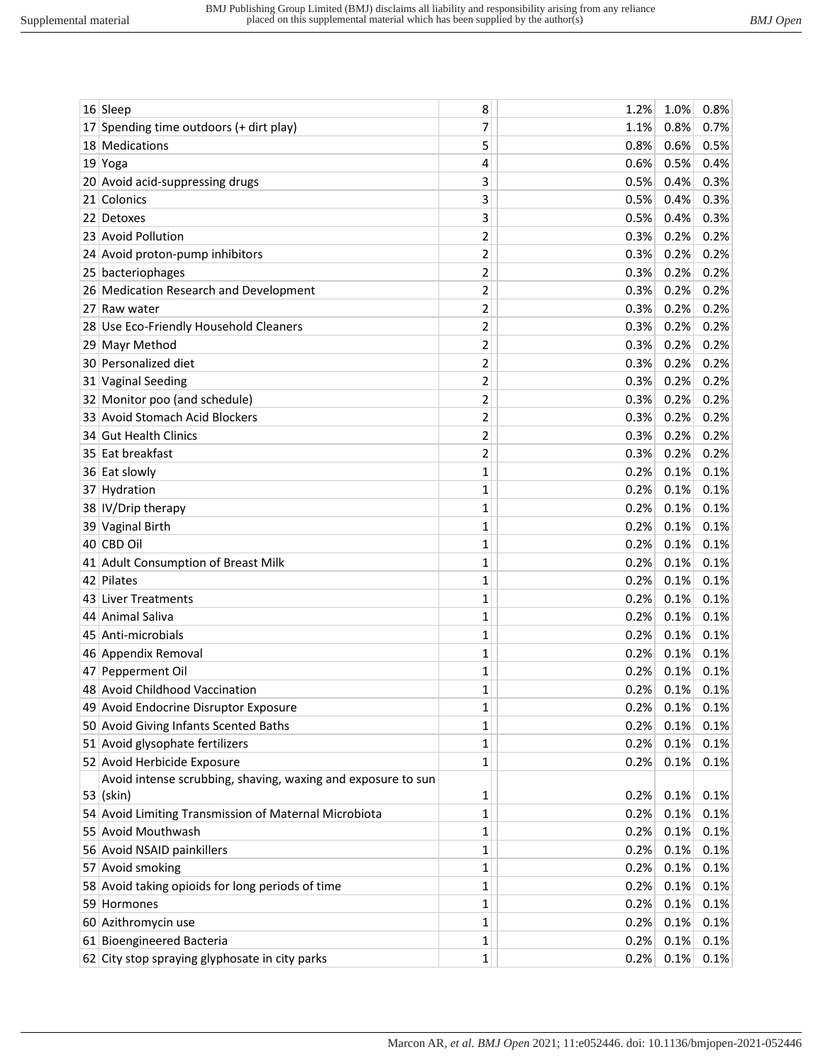|    | $16$ Sleep                                                   | 8              | 1.2% | 1.0% | 0.8% |
|----|--------------------------------------------------------------|----------------|------|------|------|
| 17 | Spending time outdoors (+ dirt play)                         | 7              | 1.1% | 0.8% | 0.7% |
|    | 18 Medications                                               | 5              | 0.8% | 0.6% | 0.5% |
|    | $19$ Yoga                                                    | 4              | 0.6% | 0.5% | 0.4% |
|    | 20 Avoid acid-suppressing drugs                              | 3              | 0.5% | 0.4% | 0.3% |
|    | 21 Colonics                                                  | 3              | 0.5% | 0.4% | 0.3% |
|    | 22 Detoxes                                                   | 3              | 0.5% | 0.4% | 0.3% |
|    | 23 Avoid Pollution                                           | 2              | 0.3% | 0.2% | 0.2% |
|    | 24 Avoid proton-pump inhibitors                              | 2              | 0.3% | 0.2% | 0.2% |
|    | 25 bacteriophages                                            | 2              | 0.3% | 0.2% | 0.2% |
|    | 26 Medication Research and Development                       | 2              | 0.3% | 0.2% | 0.2% |
|    | 27 Raw water                                                 | 2              | 0.3% | 0.2% | 0.2% |
|    | 28 Use Eco-Friendly Household Cleaners                       | 2              | 0.3% | 0.2% | 0.2% |
|    | 29 Mayr Method                                               | $\overline{2}$ | 0.3% | 0.2% | 0.2% |
|    | 30 Personalized diet                                         | 2              | 0.3% | 0.2% | 0.2% |
|    | 31 Vaginal Seeding                                           | 2              | 0.3% | 0.2% | 0.2% |
|    | 32 Monitor poo (and schedule)                                | 2              | 0.3% | 0.2% | 0.2% |
|    | 33 Avoid Stomach Acid Blockers                               | 2              | 0.3% | 0.2% | 0.2% |
|    | 34 Gut Health Clinics                                        | 2              | 0.3% | 0.2% | 0.2% |
|    | 35 Eat breakfast                                             | 2              | 0.3% | 0.2% | 0.2% |
|    | 36 Eat slowly                                                | 1              | 0.2% | 0.1% | 0.1% |
|    | 37 Hydration                                                 | 1              | 0.2% | 0.1% | 0.1% |
|    | 38 IV/Drip therapy                                           | 1              | 0.2% | 0.1% | 0.1% |
|    | 39 Vaginal Birth                                             | 1              | 0.2% | 0.1% | 0.1% |
|    | 40 CBD Oil                                                   | 1              | 0.2% | 0.1% | 0.1% |
|    | 41 Adult Consumption of Breast Milk                          | 1              | 0.2% | 0.1% | 0.1% |
|    | 42 Pilates                                                   | 1              | 0.2% | 0.1% | 0.1% |
|    | 43 Liver Treatments                                          | 1              | 0.2% | 0.1% | 0.1% |
|    | 44 Animal Saliva                                             | 1              | 0.2% | 0.1% | 0.1% |
|    | 45 Anti-microbials                                           | 1              | 0.2% | 0.1% | 0.1% |
|    | 46 Appendix Removal                                          | 1              | 0.2% | 0.1% | 0.1% |
|    | 47 Pepperment Oil                                            | 1              | 0.2% | 0.1% | 0.1% |
|    | 48 Avoid Childhood Vaccination                               | $\mathbf{1}$   | 0.2% | 0.1% | 0.1% |
|    | 49 Avoid Endocrine Disruptor Exposure                        | 1              | 0.2% | 0.1% | 0.1% |
|    | 50 Avoid Giving Infants Scented Baths                        | 1              | 0.2% | 0.1% | 0.1% |
|    | 51 Avoid glysophate fertilizers                              | 1              | 0.2% | 0.1% | 0.1% |
|    | 52 Avoid Herbicide Exposure                                  | $\mathbf{1}$   | 0.2% | 0.1% | 0.1% |
|    | Avoid intense scrubbing, shaving, waxing and exposure to sun |                |      |      |      |
|    | $53$ (skin)                                                  | 1              | 0.2% | 0.1% | 0.1% |
|    | 54 Avoid Limiting Transmission of Maternal Microbiota        | 1              | 0.2% | 0.1% | 0.1% |
|    | 55 Avoid Mouthwash                                           | 1              | 0.2% | 0.1% | 0.1% |
|    | 56 Avoid NSAID painkillers                                   | 1              | 0.2% | 0.1% | 0.1% |
|    | 57 Avoid smoking                                             | 1              | 0.2% | 0.1% | 0.1% |
|    | 58 Avoid taking opioids for long periods of time             | 1              | 0.2% | 0.1% | 0.1% |
|    | 59 Hormones                                                  | 1              | 0.2% | 0.1% | 0.1% |
|    | 60 Azithromycin use                                          | 1              | 0.2% | 0.1% | 0.1% |
|    | 61 Bioengineered Bacteria                                    | 1              | 0.2% | 0.1% | 0.1% |
|    | 62 City stop spraying glyphosate in city parks               | 1              | 0.2% | 0.1% | 0.1% |